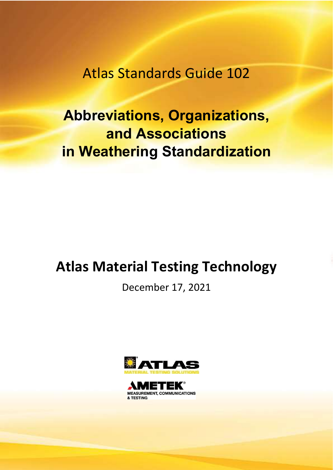Atlas Standards Guide 102

## Abbreviations, Organizations, and Associations in Weathering Standardization

## Atlas Material Testing Technology

December 17, 2021



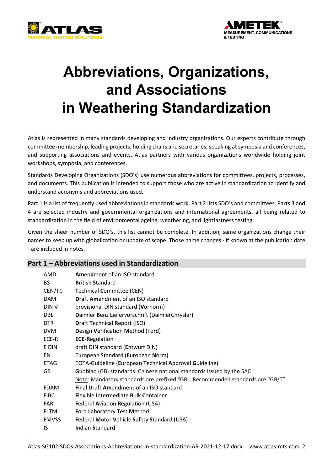



# Abbreviations, Organizations, and Associations in Weathering Standardization

Atlas is represented in many standards developing and industry organizations. Our experts contribute through committee membership, leading projects, holding chairs and secretaries, speaking at symposia and conferences, and supporting associations and events. Atlas partners with various organizations worldwide holding joint workshops, symposia, and conferences.

Standards Developing Organizations (SDO's) use numerous abbreviations for committees, projects, processes, and documents. This publication is intended to support those who are active in standardization to identify and understand acronyms and abbreviations used.

Part 1 is a list of frequently used abbreviations in standards work. Part 2 lists SDO's and committees. Parts 3 and 4 are selected industry and governmental organizations and international agreements, all being related to standardization in the field of environmental ageing, weathering, and lightfastness testing.

Given the sheer number of SDO's, this list cannot be complete. In addition, same organizations change their names to keep up with globalization or update of scope. Those name changes - if known at the publication date - are included in notes.

#### Part 1 – Abbreviations used in Standardization

| AMD          | <b>Amendment of an ISO standard</b>                                           |
|--------------|-------------------------------------------------------------------------------|
| BS.          | <b>British Standard</b>                                                       |
| CEN/TC       | <b>Technical Committee (CEN)</b>                                              |
| <b>DAM</b>   | <b>Draft Amendment of an ISO standard</b>                                     |
| DIN V        | provisional DIN standard (Vornorm)                                            |
| <b>DBL</b>   | Daimler Benz Liefervorschrift (DaimlerChrysler)                               |
| DTR.         | <b>Draft Technical Report (ISO)</b>                                           |
| <b>DVM</b>   | Design Verification Method (Ford)                                             |
| ECE-R        | <b>ECE-Regulation</b>                                                         |
| E DIN        | draft DIN standard (Entwurf DIN)                                              |
| EN           | European Standard (European Norm)                                             |
| <b>ETAG</b>  | EOTA-Guideline (European Technical Approval Guideline)                        |
| GB           | <b>Guobiao</b> (GB) standards: Chinese national standards issued by the SAC   |
|              | Note: Mandatory standards are prefixed "GB". Recommended standards are "GB/T" |
| <b>FDAM</b>  | <b>Final Draft Amendment of an ISO standard</b>                               |
| <b>FIBC</b>  | <b>Flexible Intermediate Bulk Container</b>                                   |
| <b>FAR</b>   | <b>Federal Aviation Regulation (USA)</b>                                      |
| <b>FLTM</b>  | <b>Ford Laboratory Test Method</b>                                            |
| <b>FMVSS</b> | Federal Motor Vehicle Safety Standard (USA)                                   |
| IS.          | <b>Indian Standard</b>                                                        |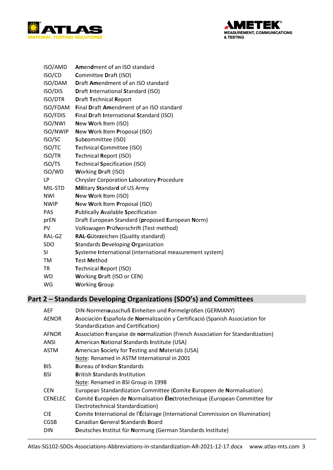



| ISO/AMD         | Amendment of an ISO standard                             |
|-----------------|----------------------------------------------------------|
| ISO/CD          | Committee Draft (ISO)                                    |
| ISO/DAM         | <b>Draft Amendment of an ISO standard</b>                |
| ISO/DIS         | <b>Draft International Standard (ISO)</b>                |
| <b>ISO/DTR</b>  | <b>Draft Technical Report</b>                            |
| ISO/FDAM        | Final Draft Amendment of an ISO standard                 |
| <b>ISO/FDIS</b> | Final Draft International Standard (ISO)                 |
| ISO/NWI         | New Work Item (ISO)                                      |
| ISO/NWIP        | New Work Item Proposal (ISO)                             |
| ISO/SC          | Subcommittee (ISO)                                       |
| ISO/TC          | <b>Technical Committee (ISO)</b>                         |
| ISO/TR          | <b>Technical Report (ISO)</b>                            |
| ISO/TS          | <b>Technical Specification (ISO)</b>                     |
| ISO/WD          | <b>Working Draft (ISO)</b>                               |
| LP              | <b>Chrysler Corporation Laboratory Procedure</b>         |
| MIL-STD         | Military Standard of US Army                             |
| <b>NWI</b>      | New Work Item (ISO)                                      |
| <b>NWIP</b>     | New Work Item Proposal (ISO)                             |
| <b>PAS</b>      | <b>Publically Available Specification</b>                |
| prEN            | Draft European Standard (proposed European Norm)         |
| PV              | Volkswagen Prüfvorschrift (Test method)                  |
| RAL-GZ          | RAL-Gütezeichen (Quality standard)                       |
| <b>SDO</b>      | <b>Standards Developing Organization</b>                 |
| SI              | Systeme International (international measurement system) |
| TM              | <b>Test Method</b>                                       |
| <b>TR</b>       | <b>Technical Report (ISO)</b>                            |
| <b>WD</b>       | Working Draft (ISO or CEN)                               |
| WG              | <b>Working Group</b>                                     |

## Part 2 - Standards Developing Organizations (SDO's) and Committees

| <b>AEF</b>     | DIN-Normenausschuß Einheiten und Formelgrößen (GERMANY)                         |
|----------------|---------------------------------------------------------------------------------|
| <b>AENOR</b>   | Asociación Española de Normalización y Certificació (Spanish Association for    |
|                | Standardization and Certification)                                              |
| <b>AFNOR</b>   | Association française de normalization (French Association for Standardization) |
| ANSI           | <b>American National Standards Institute (USA)</b>                              |
| <b>ASTM</b>    | American Society for Testing and Materials (USA)                                |
|                | Note: Renamed in ASTM International in 2001                                     |
| <b>BIS</b>     | <b>Bureau of Indian Standards</b>                                               |
| <b>BSI</b>     | <b>British Standards Institution</b>                                            |
|                | Note: Renamed in BSI Group in 1998                                              |
| <b>CEN</b>     | European Standardization Committee (Comite Europeen de Normalisation)           |
| <b>CENELEC</b> | Comité Européen de Normalisation Électrotechnique (European Committee for       |
|                | Electrotechnical Standardization)                                               |
| <b>CIE</b>     | Comite International de l'Éclairage (International Commission on Illumination)  |
| <b>CGSB</b>    | <b>Canadian General Standards Board</b>                                         |
| <b>DIN</b>     | Deutsches Institut für Normung (German Standards Institute)                     |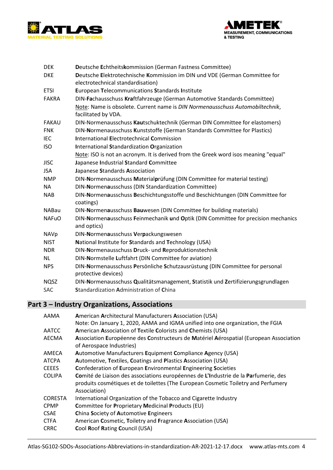



| <b>DEK</b>   | Deutsche Echtheitskommission (German Fastness Committee)                                                        |
|--------------|-----------------------------------------------------------------------------------------------------------------|
| <b>DKE</b>   | Deutsche Elektrotechnische Kommission im DIN und VDE (German Committee for<br>electrotechnical standardisation) |
| <b>ETSI</b>  | European Telecommunications Standards Institute                                                                 |
| <b>FAKRA</b> | DIN-Fachausschuss Kraftfahrzeuge (German Automotive Standards Committee)                                        |
|              | Note: Name is obsolete. Current name is DIN Normenausschuss Automobiltechnik,<br>facilitated by VDA.            |
| <b>FAKAU</b> | DIN-Normenausschuss Kautschuktechnik (German DIN Committee for elastomers)                                      |
| <b>FNK</b>   | DIN-Normenausschuss Kunststoffe (German Standards Committee for Plastics)                                       |
| <b>IEC</b>   | <b>International Electrotechnical Commission</b>                                                                |
| <b>ISO</b>   | International Standardization Organization                                                                      |
|              | Note: ISO is not an acronym. It is derived from the Greek word isos meaning "equal"                             |
| <b>JISC</b>  | Japanese Industrial Standard Committee                                                                          |
| <b>JSA</b>   | Japanese Standards Association                                                                                  |
| <b>NMP</b>   | DIN-Normenausschuss Materialprüfung (DIN Committee for material testing)                                        |
| NA           | DIN-Normenausschuss (DIN Standardization Committee)                                                             |
| <b>NAB</b>   | DIN-Normenausschuss Beschichtungsstoffe und Beschichtungen (DIN Committee for<br>coatings)                      |
| <b>NABau</b> | DIN-Normenausschuss Bauwesen (DIN Committee for building materials)                                             |
| <b>NAFuO</b> | DIN-Normenausschuss Feinmechanik und Optik (DIN Committee for precision mechanics<br>and optics)                |
| <b>NAVp</b>  | DIN-Normenausschuss Verpackungswesen                                                                            |
| <b>NIST</b>  | National Institute for Standards and Technology (USA)                                                           |
| <b>NDR</b>   | DIN-Normenausschuss Druck- und Reproduktionstechnik                                                             |
| <b>NL</b>    | DIN-Normstelle Luftfahrt (DIN Committee for aviation)                                                           |
| <b>NPS</b>   | DIN-Normenausschuss Persönliche Schutzausrüstung (DIN Committee for personal<br>protective devices)             |
| <b>NQSZ</b>  | DIN-Normenausschuss Qualitätsmanagement, Statistik und Zertifizierungsgrundlagen                                |
| SAC          | Standardization Administration of China                                                                         |
|              |                                                                                                                 |

### Part 3 - Industry Organizations, Associations

| AAMA           | American Architectural Manufacturers Association (USA)<br>Note: On January 1, 2020, AAMA and IGMA unified into one organization, the FGIA                                                 |
|----------------|-------------------------------------------------------------------------------------------------------------------------------------------------------------------------------------------|
| AATCC          | American Association of Textile Colorists and Chemists (USA)                                                                                                                              |
| AECMA          | Association Européenne des Constructeurs de Matériel Aérospatial (European Association<br>of Aerospace Industries)                                                                        |
| AMECA          | Automotive Manufacturers Equipment Compliance Agency (USA)                                                                                                                                |
| <b>ATCPA</b>   | Automotive, Textiles, Coatings and Plastics Association (USA)                                                                                                                             |
| <b>CEEES</b>   | <b>Confederation of European Environmental Engineering Societies</b>                                                                                                                      |
| <b>COLIPA</b>  | Comité de Liaison des associations européennes de L'Industrie de la Parfumerie, des<br>produits cosmétiques et de toilettes (The European Cosmetic Toiletry and Perfumery<br>Association) |
| <b>CORESTA</b> | International Organization of the Tobacco and Cigarette Industry                                                                                                                          |
| <b>CPMP</b>    | Committee for Proprietary Medicinal Products (EU)                                                                                                                                         |
| <b>CSAE</b>    | China Society of Automotive Engineers                                                                                                                                                     |
| <b>CTFA</b>    | American Cosmetic, Toiletry and Fragrance Association (USA)                                                                                                                               |
| <b>CRRC</b>    | Cool Roof Rating Council (USA)                                                                                                                                                            |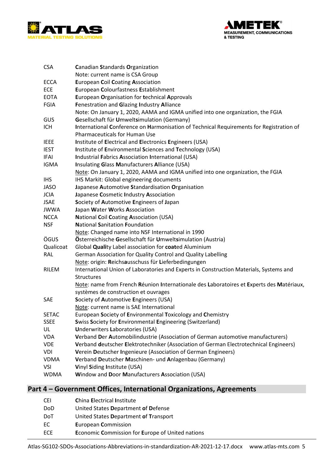



| <b>CSA</b>   | Canadian Standards Organization                                                          |
|--------------|------------------------------------------------------------------------------------------|
|              | Note: current name is CSA Group                                                          |
| <b>ECCA</b>  | <b>European Coil Coating Association</b>                                                 |
| ECE          | European Colourfastness Establishment                                                    |
| <b>EOTA</b>  | European Organisation for technical Approvals                                            |
| <b>FGIA</b>  | Fenestration and Glazing Industry Alliance                                               |
|              | Note: On January 1, 2020, AAMA and IGMA unified into one organization, the FGIA          |
| GUS          | Gesellschaft für Umweltsimulation (Germany)                                              |
| <b>ICH</b>   | International Conference on Harmonisation of Technical Requirements for Registration of  |
|              | Pharmaceuticals for Human Use                                                            |
| <b>IEEE</b>  | Institute of Electrical and Electronics Engineers (USA)                                  |
| <b>IEST</b>  | Institute of Environmental Sciences and Technology (USA)                                 |
| <b>IFAI</b>  | Industrial Fabrics Association International (USA)                                       |
| <b>IGMA</b>  | Insulating Glass Manufacturers Alliance (USA)                                            |
|              | Note: On January 1, 2020, AAMA and IGMA unified into one organization, the FGIA          |
| <b>IHS</b>   | IHS Markit: Global engineering documents                                                 |
| <b>JASO</b>  | Japanese Automotive Standardisation Organisation                                         |
| <b>JCIA</b>  | Japanese Cosmetic Industry Association                                                   |
| <b>JSAE</b>  | Society of Automotive Engineers of Japan                                                 |
| <b>JWWA</b>  | Japan Water Works Association                                                            |
| <b>NCCA</b>  | <b>National Coil Coating Association (USA)</b>                                           |
| <b>NSF</b>   | <b>National Sanitation Foundation</b>                                                    |
|              | Note: Changed name into NSF International in 1990                                        |
| ÖGUS         | Österreichische Gesellschaft für Umweltsimulation (Austria)                              |
| Qualicoat    | Global Quality Label association for coated Aluminium                                    |
| <b>RAL</b>   | German Association for Quality Control and Quality Labelling                             |
|              | Note: origin: Reichsausschuss für Lieferbedingungen                                      |
| <b>RILEM</b> | International Union of Laboratories and Experts in Construction Materials, Systems and   |
|              | <b>Structures</b>                                                                        |
|              | Note: name from French Réunion Internationale des Laboratoires et Experts des Matériaux, |
|              | systèmes de construction et ouvrages                                                     |
| SAE          | Society of Automotive Engineers (USA)                                                    |
|              | Note: current name is SAE International                                                  |
| <b>SETAC</b> | European Society of Environmental Toxicology and Chemistry                               |
| <b>SSEE</b>  | <b>Swiss Society for Environmental Engineering (Switzerland)</b>                         |
| UL           | <b>Underwriters Laboratories (USA)</b>                                                   |
| <b>VDA</b>   | Verband Der Automobilindustrie (Association of German automotive manufacturers)          |
| <b>VDE</b>   | Verband deutscher Elektrotechniker (Association of German Electrotechnical Engineers)    |
| VDI          | Verein Deutscher Ingenieure (Association of German Engineers)                            |
| <b>VDMA</b>  | Verband Deutscher Maschinen- und Anlagenbau (Germany)                                    |
| <b>VSI</b>   | Vinyl Siding Institute (USA)                                                             |
| <b>WDMA</b>  | Window and Door Manufacturers Association (USA)                                          |

## Part 4 - Government Offices, International Organizations, Agreements

| CEI        | <b>China Electrical Institute</b>                |
|------------|--------------------------------------------------|
| DoD        | United States Department of Defense              |
| <b>DoT</b> | United States Department of Transport            |
| ЕC         | <b>European Commission</b>                       |
| ECE.       | Economic Commission for Europe of United nations |